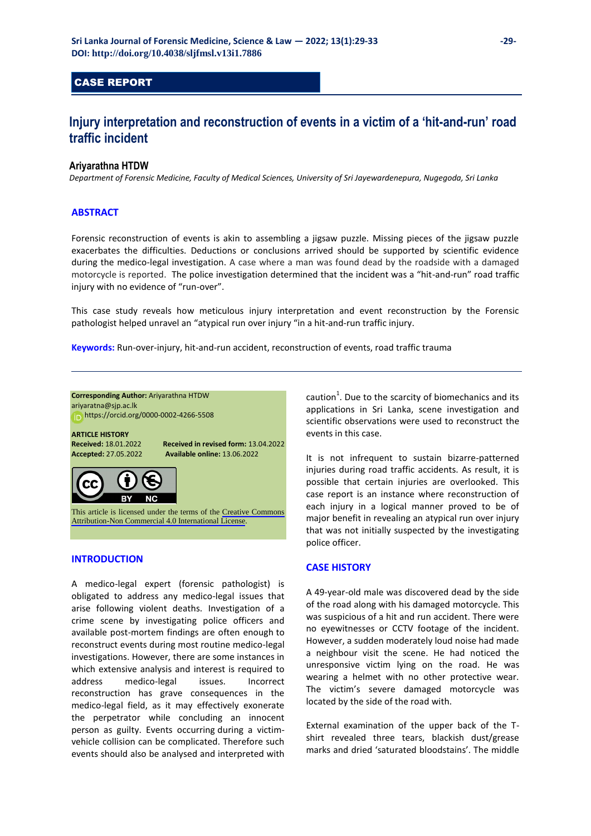## CASE REPORT

# **Injury interpretation and reconstruction of events in a victim of a 'hit-and-run' road traffic incident**

### **Ariyarathna HTDW**

*Department of Forensic Medicine, Faculty of Medical Sciences, University of Sri Jayewardenepura, Nugegoda, Sri Lanka* 

## **ABSTRACT**

Forensic reconstruction of events is akin to assembling a jigsaw puzzle. Missing pieces of the jigsaw puzzle exacerbates the difficulties. Deductions or conclusions arrived should be supported by scientific evidence during the medico-legal investigation. A case where a man was found dead by the roadside with a damaged motorcycle is reported. The police investigation determined that the incident was a "hit-and-run" road traffic injury with no evidence of "run-over".

This case study reveals how meticulous injury interpretation and event reconstruction by the Forensic pathologist helped unravel an "atypical run over injury "in a hit-and-run traffic injury.

**Keywords:** Run-over-injury, hit-and-run accident, reconstruction of events, road traffic trauma



## **INTRODUCTION**

A medico-legal expert (forensic pathologist) is obligated to address any medico-legal issues that arise following violent deaths. Investigation of a crime scene by investigating police officers and available post-mortem findings are often enough to reconstruct events during most routine medico-legal investigations. However, there are some instances in which extensive analysis and interest is required to address medico-legal issues. Incorrect reconstruction has grave consequences in the medico-legal field, as it may effectively exonerate the perpetrator while concluding an innocent person as guilty. Events occurring during a victimvehicle collision can be complicated. Therefore such events should also be analysed and interpreted with

caution $<sup>1</sup>$ . Due to the scarcity of biomechanics and its</sup> applications in Sri Lanka, scene investigation and scientific observations were used to reconstruct the events in this case.

It is not infrequent to sustain bizarre-patterned injuries during road traffic accidents. As result, it is possible that certain injuries are overlooked. This case report is an instance where reconstruction of each injury in a logical manner proved to be of major benefit in revealing an atypical run over injury that was not initially suspected by the investigating police officer.

#### **CASE HISTORY**

A 49-year-old male was discovered dead by the side of the road along with his damaged motorcycle. This was suspicious of a hit and run accident. There were no eyewitnesses or CCTV footage of the incident. However, a sudden moderately loud noise had made a neighbour visit the scene. He had noticed the unresponsive victim lying on the road. He was wearing a helmet with no other protective wear. The victim's severe damaged motorcycle was located by the side of the road with.

External examination of the upper back of the Tshirt revealed three tears, blackish dust/grease marks and dried 'saturated bloodstains'. The middle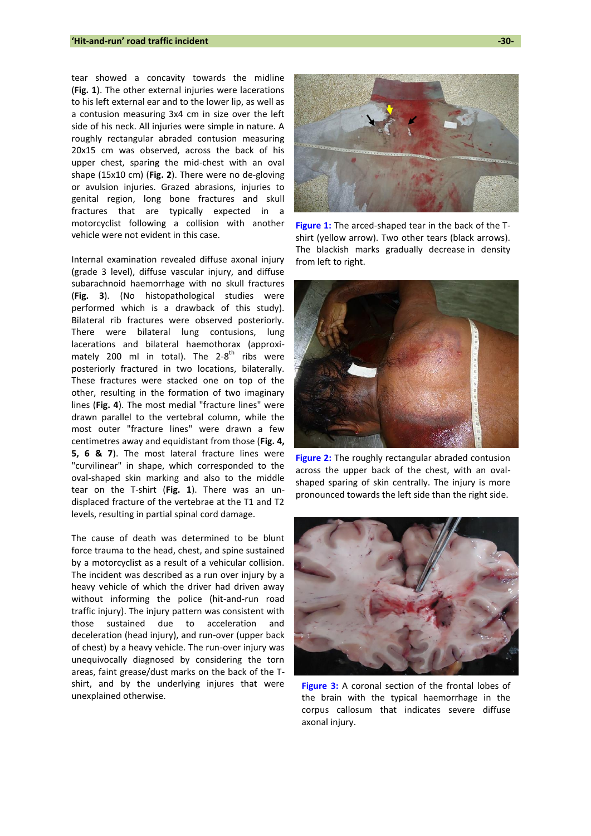tear showed a concavity towards the midline (**Fig. 1**). The other external injuries were lacerations to his left external ear and to the lower lip, as well as a contusion measuring 3x4 cm in size over the left side of his neck. All injuries were simple in nature. A roughly rectangular abraded contusion measuring 20x15 cm was observed, across the back of his upper chest, sparing the mid-chest with an oval shape (15x10 cm) (**Fig. 2**). There were no de-gloving or avulsion injuries. Grazed abrasions, injuries to genital region, long bone fractures and skull fractures that are typically expected in a motorcyclist following a collision with another vehicle were not evident in this case.

Internal examination revealed diffuse axonal injury (grade 3 level), diffuse vascular injury, and diffuse subarachnoid haemorrhage with no skull fractures (**Fig. 3**). (No histopathological studies were performed which is a drawback of this study). Bilateral rib fractures were observed posteriorly. There were bilateral lung contusions, lung lacerations and bilateral haemothorax (approximately 200 ml in total). The 2-8<sup>th</sup> ribs were posteriorly fractured in two locations, bilaterally. These fractures were stacked one on top of the other, resulting in the formation of two imaginary lines (**Fig. 4**). The most medial "fracture lines" were drawn parallel to the vertebral column, while the most outer "fracture lines" were drawn a few centimetres away and equidistant from those (**Fig. 4, 5, 6 & 7**). The most lateral fracture lines were "curvilinear" in shape, which corresponded to the oval-shaped skin marking and also to the middle tear on the T-shirt (**Fig. 1**). There was an undisplaced fracture of the vertebrae at the T1 and T2 levels, resulting in partial spinal cord damage.

The cause of death was determined to be blunt force trauma to the head, chest, and spine sustained by a motorcyclist as a result of a vehicular collision. The incident was described as a run over injury by a heavy vehicle of which the driver had driven away without informing the police (hit-and-run road traffic injury). The injury pattern was consistent with those sustained due to acceleration and deceleration (head injury), and run-over (upper back of chest) by a heavy vehicle. The run-over injury was unequivocally diagnosed by considering the torn areas, faint grease/dust marks on the back of the Tshirt, and by the underlying injures that were unexplained otherwise.



**Figure 1:** The arced-shaped tear in the back of the Tshirt (yellow arrow). Two other tears (black arrows). The blackish marks gradually decrease in density from left to right.



**Figure 2:** The roughly rectangular abraded contusion across the upper back of the chest, with an ovalshaped sparing of skin centrally. The injury is more pronounced towards the left side than the right side.



**Figure 3:** A coronal section of the frontal lobes of the brain with the typical haemorrhage in the corpus callosum that indicates severe diffuse axonal injury.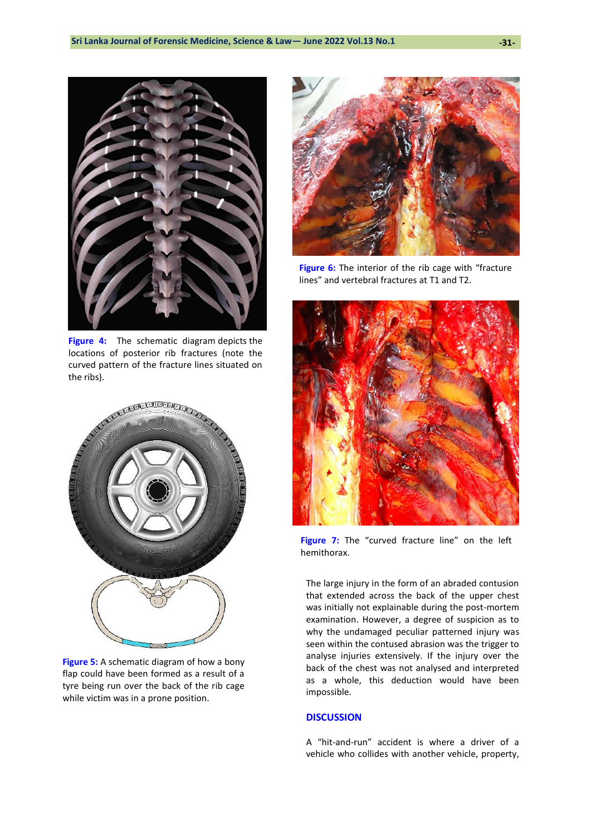

**Figure 4:** The schematic diagram depicts the locations of posterior rib fractures (note the curved pattern of the fracture lines situated on the ribs).



**Figure 5:** A schematic diagram of how a bony flap could have been formed as a result of a tyre being run over the back of the rib cage while victim was in a prone position.



**Figure 6:** The interior of the rib cage with "fracture" lines" and vertebral fractures at T1 and T2.



**Figure 7:** The "curved fracture line" on the left hemithorax.

The large injury in the form of an abraded contusion that extended across the back of the upper chest was initially not explainable during the post-mortem examination. However, a degree of suspicion as to why the undamaged peculiar patterned injury was seen within the contused abrasion was the trigger to analyse injuries extensively. If the injury over the back of the chest was not analysed and interpreted as a whole, this deduction would have been impossible.

## **DISCUSSION**

A "hit-and-run" accident is where a driver of a vehicle who collides with another vehicle, property,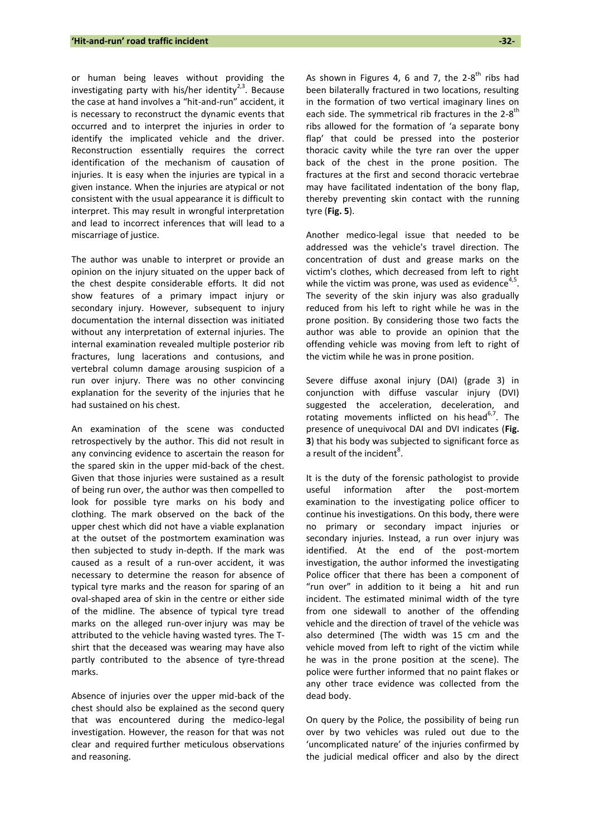or human being leaves without providing the investigating party with his/her identity<sup>2,3</sup>. Because the case at hand involves a "hit-and-run" accident, it is necessary to reconstruct the dynamic events that occurred and to interpret the injuries in order to identify the implicated vehicle and the driver. Reconstruction essentially requires the correct identification of the mechanism of causation of injuries. It is easy when the injuries are typical in a given instance. When the injuries are atypical or not consistent with the usual appearance it is difficult to interpret. This may result in wrongful interpretation and lead to incorrect inferences that will lead to a miscarriage of justice.

The author was unable to interpret or provide an opinion on the injury situated on the upper back of the chest despite considerable efforts. It did not show features of a primary impact injury or secondary injury. However, subsequent to injury documentation the internal dissection was initiated without any interpretation of external injuries. The internal examination revealed multiple posterior rib fractures, lung lacerations and contusions, and vertebral column damage arousing suspicion of a run over injury. There was no other convincing explanation for the severity of the injuries that he had sustained on his chest.

An examination of the scene was conducted retrospectively by the author. This did not result in any convincing evidence to ascertain the reason for the spared skin in the upper mid-back of the chest. Given that those injuries were sustained as a result of being run over, the author was then compelled to look for possible tyre marks on his body and clothing. The mark observed on the back of the upper chest which did not have a viable explanation at the outset of the postmortem examination was then subjected to study in-depth. If the mark was caused as a result of a run-over accident, it was necessary to determine the reason for absence of typical tyre marks and the reason for sparing of an oval-shaped area of skin in the centre or either side of the midline. The absence of typical tyre tread marks on the alleged run-over injury was may be attributed to the vehicle having wasted tyres. The Tshirt that the deceased was wearing may have also partly contributed to the absence of tyre-thread marks.

Absence of injuries over the upper mid-back of the chest should also be explained as the second query that was encountered during the medico-legal investigation. However, the reason for that was not clear and required further meticulous observations and reasoning.

As shown in Figures 4, 6 and 7, the  $2-8^{th}$  ribs had been bilaterally fractured in two locations, resulting in the formation of two vertical imaginary lines on each side. The symmetrical rib fractures in the 2-8<sup>th</sup> ribs allowed for the formation of 'a separate bony flap' that could be pressed into the posterior thoracic cavity while the tyre ran over the upper back of the chest in the prone position. The fractures at the first and second thoracic vertebrae may have facilitated indentation of the bony flap, thereby preventing skin contact with the running tyre (**Fig. 5**).

Another medico-legal issue that needed to be addressed was the vehicle's travel direction. The concentration of dust and grease marks on the victim's clothes, which decreased from left to right while the victim was prone, was used as evidence $4,5$ . The severity of the skin injury was also gradually reduced from his left to right while he was in the prone position. By considering those two facts the author was able to provide an opinion that the offending vehicle was moving from left to right of the victim while he was in prone position.

Severe diffuse axonal injury (DAI) (grade 3) in conjunction with diffuse vascular injury (DVI) suggested the acceleration, deceleration, and rotating movements inflicted on his head<sup>6,7</sup>. The presence of unequivocal DAI and DVI indicates (**Fig. 3**) that his body was subjected to significant force as a result of the incident $^8$ .

It is the duty of the forensic pathologist to provide useful information after the post-mortem examination to the investigating police officer to continue his investigations. On this body, there were no primary or secondary impact injuries or secondary injuries. Instead, a run over injury was identified. At the end of the post-mortem investigation, the author informed the investigating Police officer that there has been a component of "run over" in addition to it being a hit and run incident. The estimated minimal width of the tyre from one sidewall to another of the offending vehicle and the direction of travel of the vehicle was also determined (The width was 15 cm and the vehicle moved from left to right of the victim while he was in the prone position at the scene). The police were further informed that no paint flakes or any other trace evidence was collected from the dead body.

On query by the Police, the possibility of being run over by two vehicles was ruled out due to the 'uncomplicated nature' of the injuries confirmed by the judicial medical officer and also by the direct